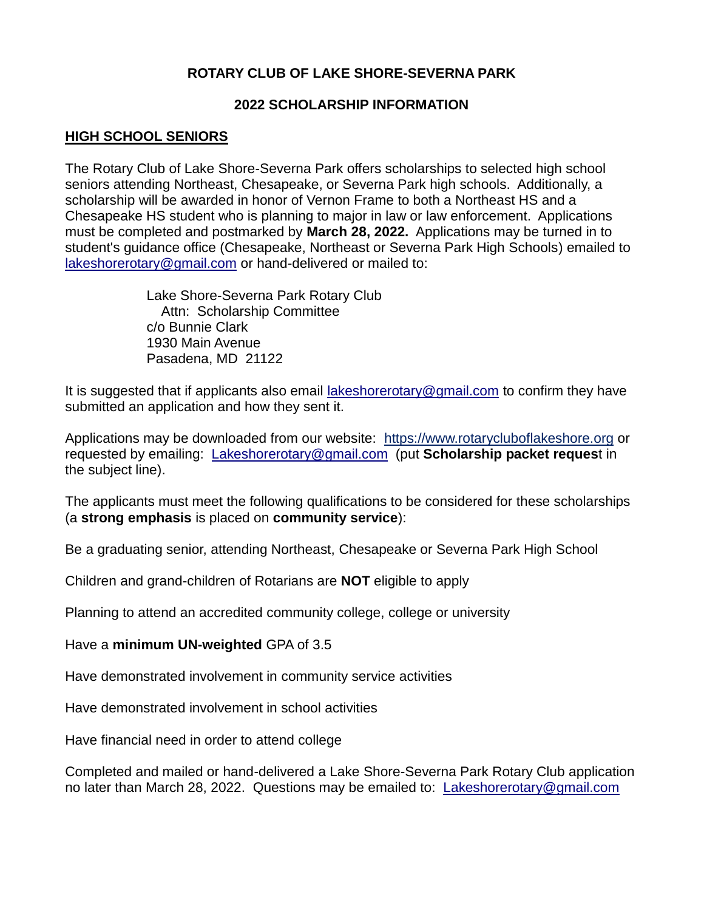## **ROTARY CLUB OF LAKE SHORE-SEVERNA PARK**

#### **2022 SCHOLARSHIP INFORMATION**

#### **HIGH SCHOOL SENIORS**

The Rotary Club of Lake Shore-Severna Park offers scholarships to selected high school seniors attending Northeast, Chesapeake, or Severna Park high schools. Additionally, a scholarship will be awarded in honor of Vernon Frame to both a Northeast HS and a Chesapeake HS student who is planning to major in law or law enforcement. Applications must be completed and postmarked by **March 28, 2022.** Applications may be turned in to student's guidance office (Chesapeake, Northeast or Severna Park High Schools) emailed to [lakeshorerotary@gmail.com](mailto:lakeshorerotary@gmail.com) or hand-delivered or mailed to:

> Lake Shore-Severna Park Rotary Club Attn: Scholarship Committee c/o Bunnie Clark 1930 Main Avenue Pasadena, MD 21122

It is suggested that if applicants also email [lakeshorerotary@gmail.com](mailto:lakeshorerotary@gmail.com) to confirm they have submitted an application and how they sent it.

Applications may be downloaded from our website: [https://www.rotarycluboflakeshore.org](https://www.rotarycluboflakeshore.org/) or requested by emailing: [Lakeshorerotary@gmail.com](mailto:Lakeshorerotary@gmail.com) (put **Scholarship packet reques**t in the subject line).

The applicants must meet the following qualifications to be considered for these scholarships (a **strong emphasis** is placed on **community service**):

Be a graduating senior, attending Northeast, Chesapeake or Severna Park High School

Children and grand-children of Rotarians are **NOT** eligible to apply

Planning to attend an accredited community college, college or university

Have a **minimum UN-weighted** GPA of 3.5

Have demonstrated involvement in community service activities

Have demonstrated involvement in school activities

Have financial need in order to attend college

Completed and mailed or hand-delivered a Lake Shore-Severna Park Rotary Club application no later than March 28, 2022. Questions may be emailed to: [Lakeshorerotary@gmail.com](mailto:Lakeshorerotary@gmail.com)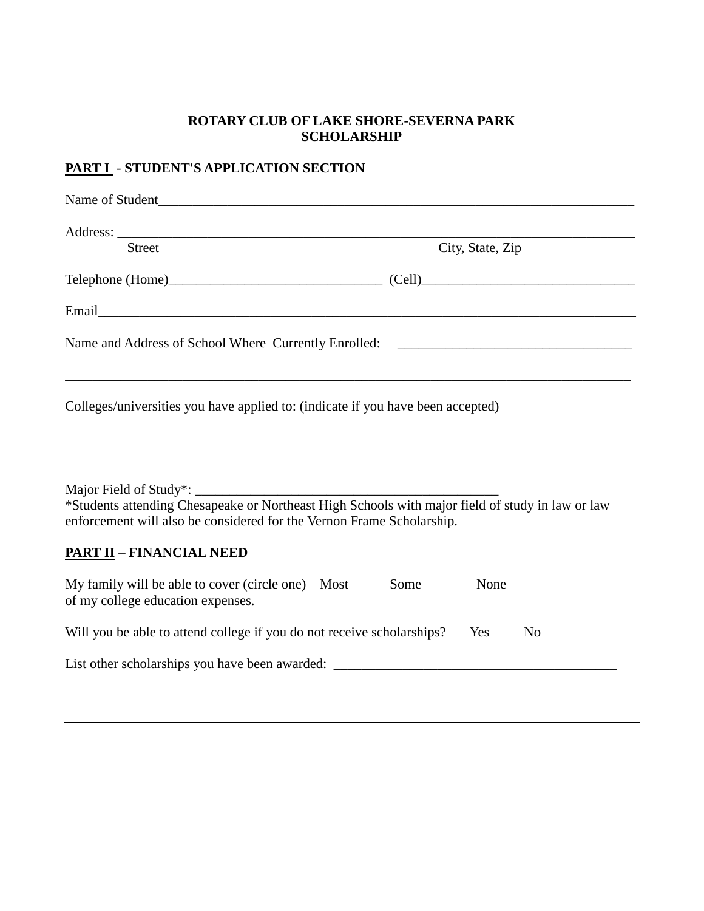#### **ROTARY CLUB OF LAKE SHORE-SEVERNA PARK SCHOLARSHIP**

## **PART I** - **STUDENT'S APPLICATION SECTION**

| Name of Student                                                                                        |                  |
|--------------------------------------------------------------------------------------------------------|------------------|
|                                                                                                        |                  |
| Street                                                                                                 | City, State, Zip |
|                                                                                                        |                  |
|                                                                                                        |                  |
| Name and Address of School Where Currently Enrolled: [19] Daniel Contract Contract Currently Enrolled: |                  |
| Colleges/universities you have applied to: (indicate if you have been accepted)                        |                  |
|                                                                                                        |                  |

\*Students attending Chesapeake or Northeast High Schools with major field of study in law or law enforcement will also be considered for the Vernon Frame Scholarship.

## **PART II** – **FINANCIAL NEED**

| My family will be able to cover (circle one)<br>of my college education expenses. | Most | Some | None |                |
|-----------------------------------------------------------------------------------|------|------|------|----------------|
| Will you be able to attend college if you do not receive scholarships?            |      |      |      | N <sub>0</sub> |
| List other scholarships you have been awarded:                                    |      |      |      |                |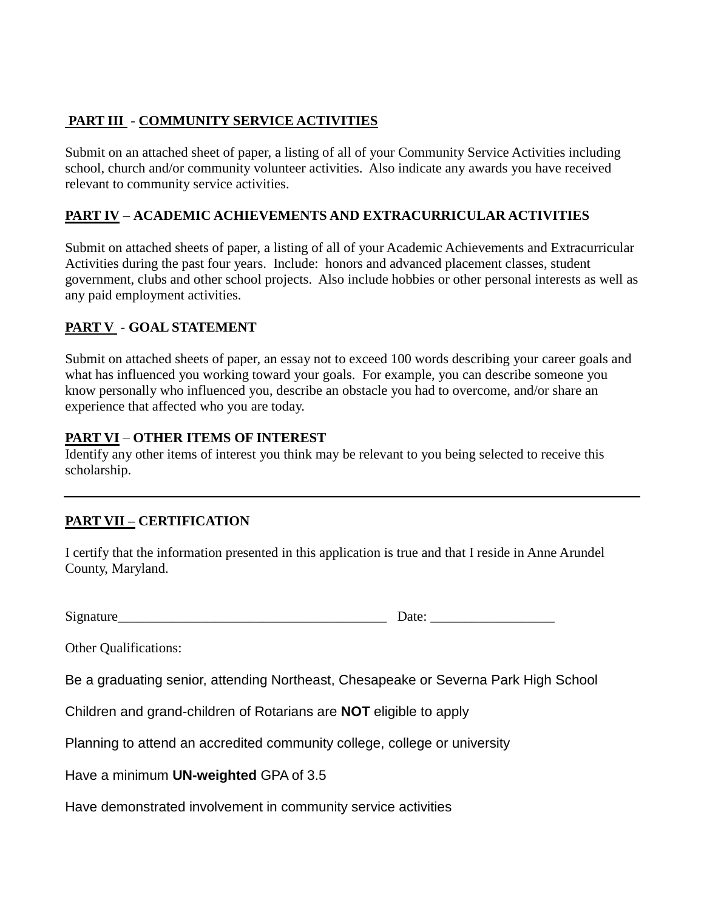## **PART III** - **COMMUNITY SERVICE ACTIVITIES**

Submit on an attached sheet of paper, a listing of all of your Community Service Activities including school, church and/or community volunteer activities. Also indicate any awards you have received relevant to community service activities.

## **PART IV** – **ACADEMIC ACHIEVEMENTS AND EXTRACURRICULAR ACTIVITIES**

Submit on attached sheets of paper, a listing of all of your Academic Achievements and Extracurricular Activities during the past four years. Include: honors and advanced placement classes, student government, clubs and other school projects. Also include hobbies or other personal interests as well as any paid employment activities.

### **PART V** - **GOAL STATEMENT**

Submit on attached sheets of paper, an essay not to exceed 100 words describing your career goals and what has influenced you working toward your goals. For example, you can describe someone you know personally who influenced you, describe an obstacle you had to overcome, and/or share an experience that affected who you are today.

#### **PART VI** – **OTHER ITEMS OF INTEREST**

Identify any other items of interest you think may be relevant to you being selected to receive this scholarship.

# **PART VII – CERTIFICATION**

I certify that the information presented in this application is true and that I reside in Anne Arundel County, Maryland.

Signature\_\_\_\_\_\_\_\_\_\_\_\_\_\_\_\_\_\_\_\_\_\_\_\_\_\_\_\_\_\_\_\_\_\_\_\_\_\_\_ Date: \_\_\_\_\_\_\_\_\_\_\_\_\_\_\_\_\_\_

Other Qualifications:

Be a graduating senior, attending Northeast, Chesapeake or Severna Park High School

Children and grand-children of Rotarians are **NOT** eligible to apply

Planning to attend an accredited community college, college or university

Have a minimum **UN-weighted** GPA of 3.5

Have demonstrated involvement in community service activities